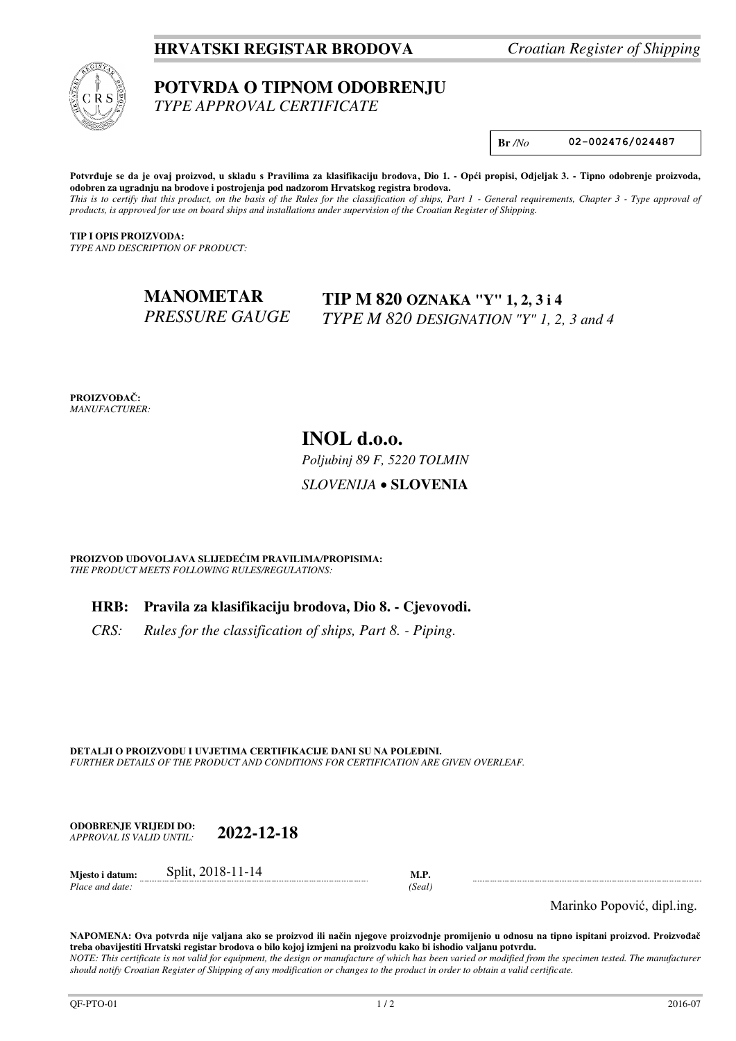## **HRVATSKI REGISTAR BRODOVA** *Croatian Register of Shipping*



# **POTVRDA O TIPNOM ODOBRENJU**

*TYPE APPROVAL CERTIFICATE* 

**Br** */No* **02-002476/024487** 

Potvrđuje se da je ovaj proizvod, u skladu s Pravilima za klasifikaciju brodova, Dio 1. - Opći propisi, Odjeljak 3. - Tipno odobrenje proizvoda, **odobren za ugradnju na brodove i postrojenja pod nadzorom Hrvatskog registra brodova.**  *This is to certify that this product, on the basis of the Rules for the classification of ships, Part 1 - General requirements, Chapter 3 - Type approval of products, is approved for use on board ships and installations under supervision of the Croatian Register of Shipping.* 

**TIP I OPIS PROIZVODA:** *TYPE AND DESCRIPTION OF PRODUCT:* 

#### **MANOMETAR**  *PRESSURE GAUGE*  **TIP M 820 OZNAKA "Y" 1, 2, 3 i 4** *TYPE M 820 DESIGNATION "Y" 1, 2, 3 and 4*

**PROIZVOĐAČ:** *MANUFACTURER:*

## **INOL d.o.o.**

*Poljubinj 89 F, 5220 TOLMIN*

*SLOVENIJA* **SLOVENIA**

**PROIZVOD UDOVOLJAVA SLIJEDEĆIM PRAVILIMA/PROPISIMA:** *THE PRODUCT MEETS FOLLOWING RULES/REGULATIONS:* 

## **HRB: Pravila za klasifikaciju brodova, Dio 8. - Cjevovodi.**

*CRS: Rules for the classification of ships, Part 8. - Piping.* 

**DETALJI O PROIZVODU I UVJETIMA CERTIFIKACIJE DANI SU NA POLEĐINI.** *FURTHER DETAILS OF THE PRODUCT AND CONDITIONS FOR CERTIFICATION ARE GIVEN OVERLEAF.* 

**ODOBRENJE VRIJEDI DO:**  *APPROVAL IS VALID UNTIL:* **2022-12-18**

**Mjesto i datum:** Split, 2018-11-14 **M.P.**  *Place and date: (Seal)* 

Marinko Popović, dipl.ing.

**NAPOMENA: Ova potvrda nije valjana ako se proizvod ili način njegove proizvodnje promijenio u odnosu na tipno ispitani proizvod. Proizvođač treba obavijestiti Hrvatski registar brodova o bilo kojoj izmjeni na proizvodu kako bi ishodio valjanu potvrdu.**  *NOTE: This certificate is not valid for equipment, the design or manufacture of which has been varied or modified from the specimen tested. The manufacturer should notify Croatian Register of Shipping of any modification or changes to the product in order to obtain a valid certificate.*